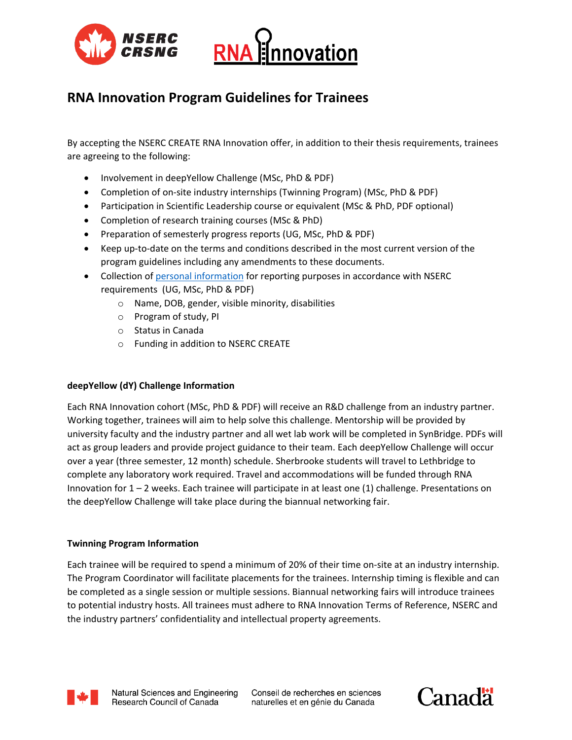



# **RNA Innovation Program Guidelines for Trainees**

By accepting the NSERC CREATE RNA Innovation offer, in addition to their thesis requirements, trainees are agreeing to the following:

- Involvement in deepYellow Challenge (MSc, PhD & PDF)
- Completion of on-site industry internships (Twinning Program) (MSc, PhD & PDF)
- Participation in Scientific Leadership course or equivalent (MSc & PhD, PDF optional)
- Completion of research training courses (MSc & PhD)
- Preparation of semesterly progress reports (UG, MSc, PhD & PDF)
- Keep up-to-date on the terms and conditions described in the most current version of the program guidelines including any amendments to these documents.
- Collection of personal information for reporting purposes in accordance with NSERC requirements (UG, MSc, PhD & PDF)
	- o Name, DOB, gender, visible minority, disabilities
	- o Program of study, PI
	- o Status in Canada
	- o Funding in addition to NSERC CREATE

# **deepYellow (dY) Challenge Information**

Each RNA Innovation cohort (MSc, PhD & PDF) will receive an R&D challenge from an industry partner. Working together, trainees will aim to help solve this challenge. Mentorship will be provided by university faculty and the industry partner and all wet lab work will be completed in SynBridge. PDFs will act as group leaders and provide project guidance to their team. Each deepYellow Challenge will occur over a year (three semester, 12 month) schedule. Sherbrooke students will travel to Lethbridge to complete any laboratory work required. Travel and accommodations will be funded through RNA Innovation for 1 – 2 weeks. Each trainee will participate in at least one (1) challenge. Presentations on the deepYellow Challenge will take place during the biannual networking fair.

# **Twinning Program Information**

Each trainee will be required to spend a minimum of 20% of their time on-site at an industry internship. The Program Coordinator will facilitate placements for the trainees. Internship timing is flexible and can be completed as a single session or multiple sessions. Biannual networking fairs will introduce trainees to potential industry hosts. All trainees must adhere to RNA Innovation Terms of Reference, NSERC and the industry partners' confidentiality and intellectual property agreements.



Conseil de recherches en sciences naturelles et en génie du Canada

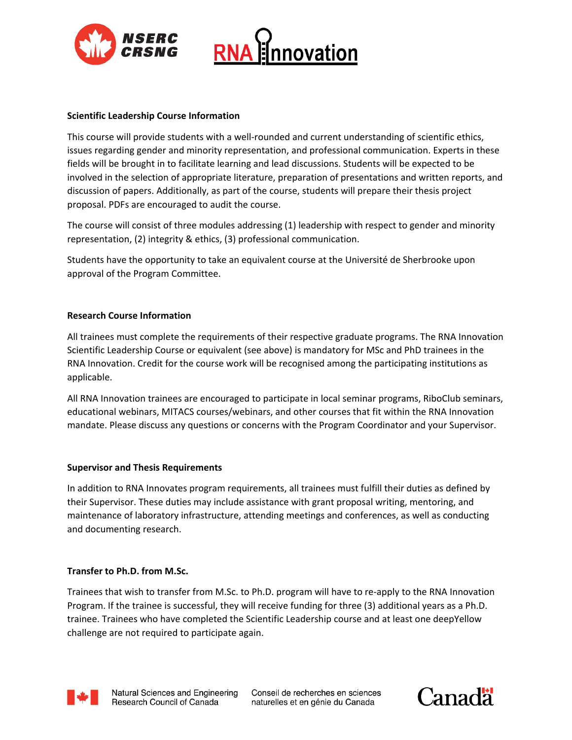



# **Scientific Leadership Course Information**

This course will provide students with a well-rounded and current understanding of scientific ethics, issues regarding gender and minority representation, and professional communication. Experts in these fields will be brought in to facilitate learning and lead discussions. Students will be expected to be involved in the selection of appropriate literature, preparation of presentations and written reports, and discussion of papers. Additionally, as part of the course, students will prepare their thesis project proposal. PDFs are encouraged to audit the course.

The course will consist of three modules addressing (1) leadership with respect to gender and minority representation, (2) integrity & ethics, (3) professional communication.

Students have the opportunity to take an equivalent course at the Université de Sherbrooke upon approval of the Program Committee.

## **Research Course Information**

All trainees must complete the requirements of their respective graduate programs. The RNA Innovation Scientific Leadership Course or equivalent (see above) is mandatory for MSc and PhD trainees in the RNA Innovation. Credit for the course work will be recognised among the participating institutions as applicable.

All RNA Innovation trainees are encouraged to participate in local seminar programs, RiboClub seminars, educational webinars, MITACS courses/webinars, and other courses that fit within the RNA Innovation mandate. Please discuss any questions or concerns with the Program Coordinator and your Supervisor.

#### **Supervisor and Thesis Requirements**

In addition to RNA Innovates program requirements, all trainees must fulfill their duties as defined by their Supervisor. These duties may include assistance with grant proposal writing, mentoring, and maintenance of laboratory infrastructure, attending meetings and conferences, as well as conducting and documenting research.

#### **Transfer to Ph.D. from M.Sc.**

Trainees that wish to transfer from M.Sc. to Ph.D. program will have to re-apply to the RNA Innovation Program. If the trainee is successful, they will receive funding for three (3) additional years as a Ph.D. trainee. Trainees who have completed the Scientific Leadership course and at least one deepYellow challenge are not required to participate again.



Conseil de recherches en sciences naturelles et en génie du Canada